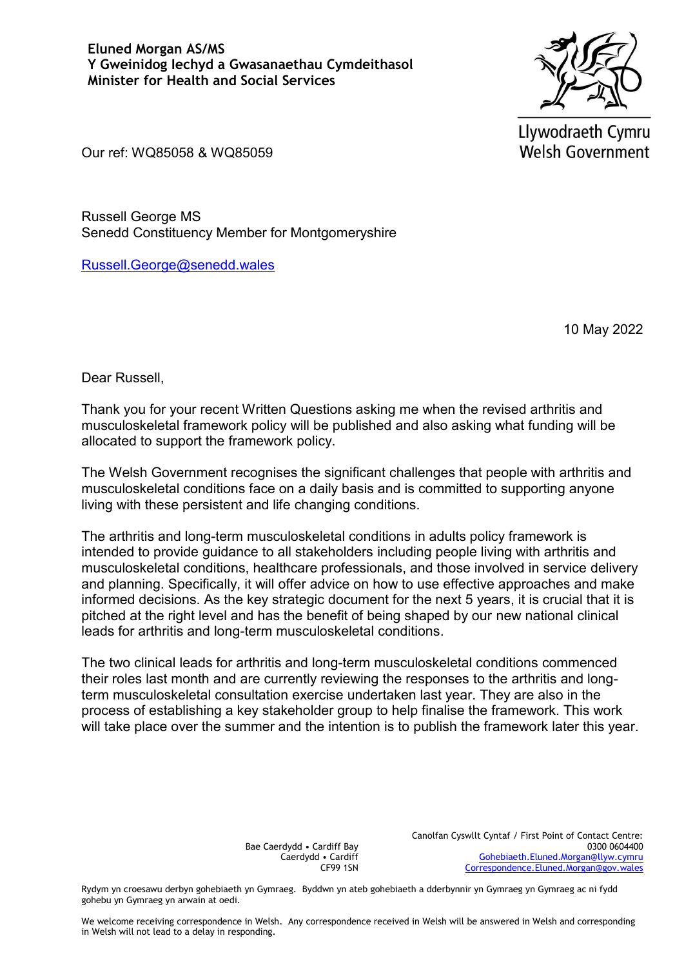

Llywodraeth Cymru **Welsh Government** 

Our ref: WQ85058 & WQ85059

Russell George MS Senedd Constituency Member for Montgomeryshire

[Russell.George@senedd.wales](mailto:Russell.George@senedd.wales)

10 May 2022

Dear Russell,

Thank you for your recent Written Questions asking me when the revised arthritis and musculoskeletal framework policy will be published and also asking what funding will be allocated to support the framework policy.

The Welsh Government recognises the significant challenges that people with arthritis and musculoskeletal conditions face on a daily basis and is committed to supporting anyone living with these persistent and life changing conditions.

The arthritis and long-term musculoskeletal conditions in adults policy framework is intended to provide guidance to all stakeholders including people living with arthritis and musculoskeletal conditions, healthcare professionals, and those involved in service delivery and planning. Specifically, it will offer advice on how to use effective approaches and make informed decisions. As the key strategic document for the next 5 years, it is crucial that it is pitched at the right level and has the benefit of being shaped by our new national clinical leads for arthritis and long-term musculoskeletal conditions.

The two clinical leads for arthritis and long-term musculoskeletal conditions commenced their roles last month and are currently reviewing the responses to the arthritis and longterm musculoskeletal consultation exercise undertaken last year. They are also in the process of establishing a key stakeholder group to help finalise the framework. This work will take place over the summer and the intention is to publish the framework later this year.

> Bae Caerdydd • Cardiff Bay Caerdydd • Cardiff CF99 1SN

Canolfan Cyswllt Cyntaf / First Point of Contact Centre: 0300 0604400 [Gohebiaeth.Eluned.Morgan@llyw.cymru](mailto:Gohebiaeth.Eluned.Morgan@llyw.cymru) [Correspondence.Eluned.Morgan@gov.wales](mailto:Correspondence.Eluned.Morgan@gov.wales)

Rydym yn croesawu derbyn gohebiaeth yn Gymraeg. Byddwn yn ateb gohebiaeth a dderbynnir yn Gymraeg yn Gymraeg ac ni fydd gohebu yn Gymraeg yn arwain at oedi.

We welcome receiving correspondence in Welsh. Any correspondence received in Welsh will be answered in Welsh and corresponding in Welsh will not lead to a delay in responding.